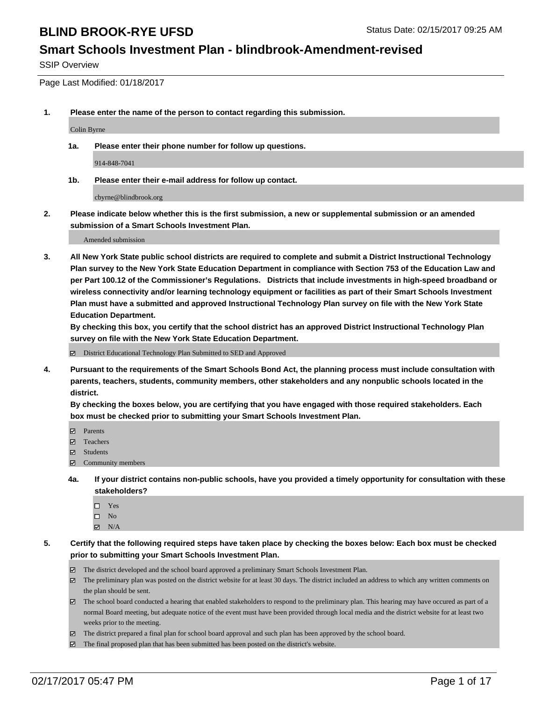#### **Smart Schools Investment Plan - blindbrook-Amendment-revised**

SSIP Overview

Page Last Modified: 01/18/2017

**1. Please enter the name of the person to contact regarding this submission.**

Colin Byrne

**1a. Please enter their phone number for follow up questions.**

914-848-7041

**1b. Please enter their e-mail address for follow up contact.**

cbyrne@blindbrook.org

**2. Please indicate below whether this is the first submission, a new or supplemental submission or an amended submission of a Smart Schools Investment Plan.**

Amended submission

**3. All New York State public school districts are required to complete and submit a District Instructional Technology Plan survey to the New York State Education Department in compliance with Section 753 of the Education Law and per Part 100.12 of the Commissioner's Regulations. Districts that include investments in high-speed broadband or wireless connectivity and/or learning technology equipment or facilities as part of their Smart Schools Investment Plan must have a submitted and approved Instructional Technology Plan survey on file with the New York State Education Department.** 

**By checking this box, you certify that the school district has an approved District Instructional Technology Plan survey on file with the New York State Education Department.**

District Educational Technology Plan Submitted to SED and Approved

**4. Pursuant to the requirements of the Smart Schools Bond Act, the planning process must include consultation with parents, teachers, students, community members, other stakeholders and any nonpublic schools located in the district.** 

**By checking the boxes below, you are certifying that you have engaged with those required stakeholders. Each box must be checked prior to submitting your Smart Schools Investment Plan.**

- **Parents**
- Teachers
- **冈** Students
- Community members
- **4a. If your district contains non-public schools, have you provided a timely opportunity for consultation with these stakeholders?**
	- □ Yes
	- $\square$  No
	- $\boxtimes$  N/A
- **5. Certify that the following required steps have taken place by checking the boxes below: Each box must be checked prior to submitting your Smart Schools Investment Plan.**
	- The district developed and the school board approved a preliminary Smart Schools Investment Plan.
	- The preliminary plan was posted on the district website for at least 30 days. The district included an address to which any written comments on the plan should be sent.
	- The school board conducted a hearing that enabled stakeholders to respond to the preliminary plan. This hearing may have occured as part of a normal Board meeting, but adequate notice of the event must have been provided through local media and the district website for at least two weeks prior to the meeting.
	- The district prepared a final plan for school board approval and such plan has been approved by the school board.
	- $\boxtimes$  The final proposed plan that has been submitted has been posted on the district's website.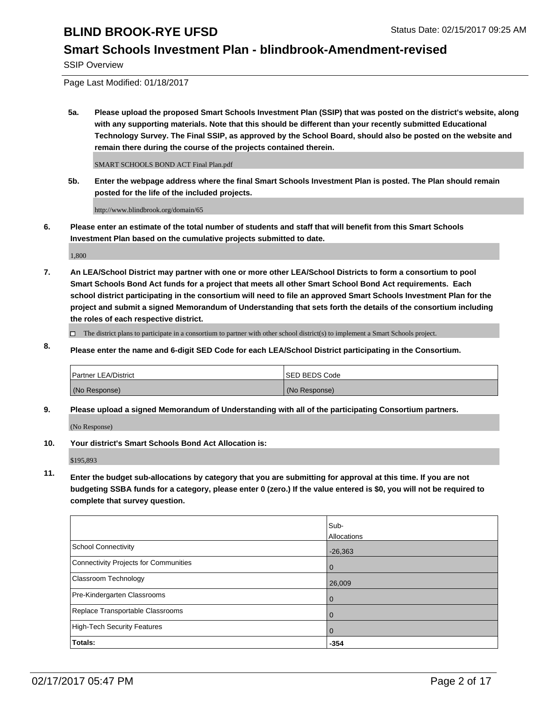#### **Smart Schools Investment Plan - blindbrook-Amendment-revised**

SSIP Overview

Page Last Modified: 01/18/2017

**5a. Please upload the proposed Smart Schools Investment Plan (SSIP) that was posted on the district's website, along with any supporting materials. Note that this should be different than your recently submitted Educational Technology Survey. The Final SSIP, as approved by the School Board, should also be posted on the website and remain there during the course of the projects contained therein.**

SMART SCHOOLS BOND ACT Final Plan.pdf

**5b. Enter the webpage address where the final Smart Schools Investment Plan is posted. The Plan should remain posted for the life of the included projects.**

http://www.blindbrook.org/domain/65

**6. Please enter an estimate of the total number of students and staff that will benefit from this Smart Schools Investment Plan based on the cumulative projects submitted to date.**

1,800

- **7. An LEA/School District may partner with one or more other LEA/School Districts to form a consortium to pool Smart Schools Bond Act funds for a project that meets all other Smart School Bond Act requirements. Each school district participating in the consortium will need to file an approved Smart Schools Investment Plan for the project and submit a signed Memorandum of Understanding that sets forth the details of the consortium including the roles of each respective district.**
	- $\Box$  The district plans to participate in a consortium to partner with other school district(s) to implement a Smart Schools project.
- **8. Please enter the name and 6-digit SED Code for each LEA/School District participating in the Consortium.**

| <b>Partner LEA/District</b> | <b>ISED BEDS Code</b> |
|-----------------------------|-----------------------|
| (No Response)               | (No Response)         |

**9. Please upload a signed Memorandum of Understanding with all of the participating Consortium partners.**

(No Response)

**10. Your district's Smart Schools Bond Act Allocation is:**

\$195,893

**11. Enter the budget sub-allocations by category that you are submitting for approval at this time. If you are not budgeting SSBA funds for a category, please enter 0 (zero.) If the value entered is \$0, you will not be required to complete that survey question.**

|                                       | Sub-        |
|---------------------------------------|-------------|
|                                       | Allocations |
| School Connectivity                   | $-26,363$   |
| Connectivity Projects for Communities | $\Omega$    |
| <b>Classroom Technology</b>           | 26,009      |
| Pre-Kindergarten Classrooms           | 0           |
| Replace Transportable Classrooms      |             |
| High-Tech Security Features           | $\Omega$    |
| Totals:                               | $-354$      |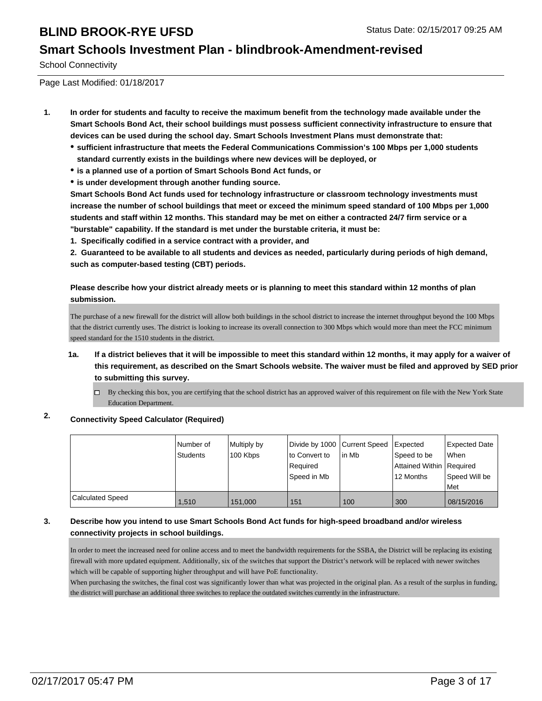#### **Smart Schools Investment Plan - blindbrook-Amendment-revised**

School Connectivity

Page Last Modified: 01/18/2017

- **1. In order for students and faculty to receive the maximum benefit from the technology made available under the Smart Schools Bond Act, their school buildings must possess sufficient connectivity infrastructure to ensure that devices can be used during the school day. Smart Schools Investment Plans must demonstrate that:**
	- **sufficient infrastructure that meets the Federal Communications Commission's 100 Mbps per 1,000 students standard currently exists in the buildings where new devices will be deployed, or**
	- **is a planned use of a portion of Smart Schools Bond Act funds, or**
	- **is under development through another funding source.**

**Smart Schools Bond Act funds used for technology infrastructure or classroom technology investments must increase the number of school buildings that meet or exceed the minimum speed standard of 100 Mbps per 1,000 students and staff within 12 months. This standard may be met on either a contracted 24/7 firm service or a "burstable" capability. If the standard is met under the burstable criteria, it must be:**

**1. Specifically codified in a service contract with a provider, and**

**2. Guaranteed to be available to all students and devices as needed, particularly during periods of high demand, such as computer-based testing (CBT) periods.**

**Please describe how your district already meets or is planning to meet this standard within 12 months of plan submission.**

The purchase of a new firewall for the district will allow both buildings in the school district to increase the internet throughput beyond the 100 Mbps that the district currently uses. The district is looking to increase its overall connection to 300 Mbps which would more than meet the FCC minimum speed standard for the 1510 students in the district.

- **1a. If a district believes that it will be impossible to meet this standard within 12 months, it may apply for a waiver of this requirement, as described on the Smart Schools website. The waiver must be filed and approved by SED prior to submitting this survey.**
	- □ By checking this box, you are certifying that the school district has an approved waiver of this requirement on file with the New York State Education Department.

#### **2. Connectivity Speed Calculator (Required)**

|                  | Number of<br>Students | Multiply by<br>100 Kbps | Divide by 1000 Current Speed<br>to Convert to<br>Reauired<br>Speed in Mb | lin Mb | Expected<br>Speed to be<br>Attained Within Required<br>12 Months | Expected Date<br><b>When</b><br>Speed Will be<br><b>Met</b> |
|------------------|-----------------------|-------------------------|--------------------------------------------------------------------------|--------|------------------------------------------------------------------|-------------------------------------------------------------|
| Calculated Speed | 1,510                 | 151,000                 | 151                                                                      | 100    | 300                                                              | 08/15/2016                                                  |

#### **3. Describe how you intend to use Smart Schools Bond Act funds for high-speed broadband and/or wireless connectivity projects in school buildings.**

In order to meet the increased need for online access and to meet the bandwidth requirements for the SSBA, the District will be replacing its existing firewall with more updated equipment. Additionally, six of the switches that support the District's network will be replaced with newer switches which will be capable of supporting higher throughput and will have PoE functionality.

When purchasing the switches, the final cost was significantly lower than what was projected in the original plan. As a result of the surplus in funding, the district will purchase an additional three switches to replace the outdated switches currently in the infrastructure.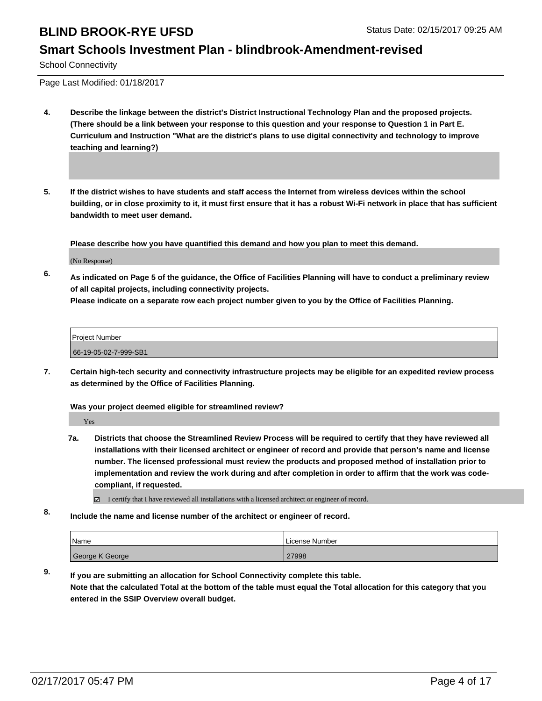#### **Smart Schools Investment Plan - blindbrook-Amendment-revised**

School Connectivity

Page Last Modified: 01/18/2017

- **4. Describe the linkage between the district's District Instructional Technology Plan and the proposed projects. (There should be a link between your response to this question and your response to Question 1 in Part E. Curriculum and Instruction "What are the district's plans to use digital connectivity and technology to improve teaching and learning?)**
- **5. If the district wishes to have students and staff access the Internet from wireless devices within the school building, or in close proximity to it, it must first ensure that it has a robust Wi-Fi network in place that has sufficient bandwidth to meet user demand.**

**Please describe how you have quantified this demand and how you plan to meet this demand.**

(No Response)

**6. As indicated on Page 5 of the guidance, the Office of Facilities Planning will have to conduct a preliminary review of all capital projects, including connectivity projects.**

**Please indicate on a separate row each project number given to you by the Office of Facilities Planning.**

Project Number 66-19-05-02-7-999-SB1

**7. Certain high-tech security and connectivity infrastructure projects may be eligible for an expedited review process as determined by the Office of Facilities Planning.**

**Was your project deemed eligible for streamlined review?**

Yes

**7a. Districts that choose the Streamlined Review Process will be required to certify that they have reviewed all installations with their licensed architect or engineer of record and provide that person's name and license number. The licensed professional must review the products and proposed method of installation prior to implementation and review the work during and after completion in order to affirm that the work was codecompliant, if requested.**

 $\boxtimes$  I certify that I have reviewed all installations with a licensed architect or engineer of record.

**8. Include the name and license number of the architect or engineer of record.**

| Name            | License Number |
|-----------------|----------------|
| George K George | 27998          |

**9. If you are submitting an allocation for School Connectivity complete this table. Note that the calculated Total at the bottom of the table must equal the Total allocation for this category that you entered in the SSIP Overview overall budget.**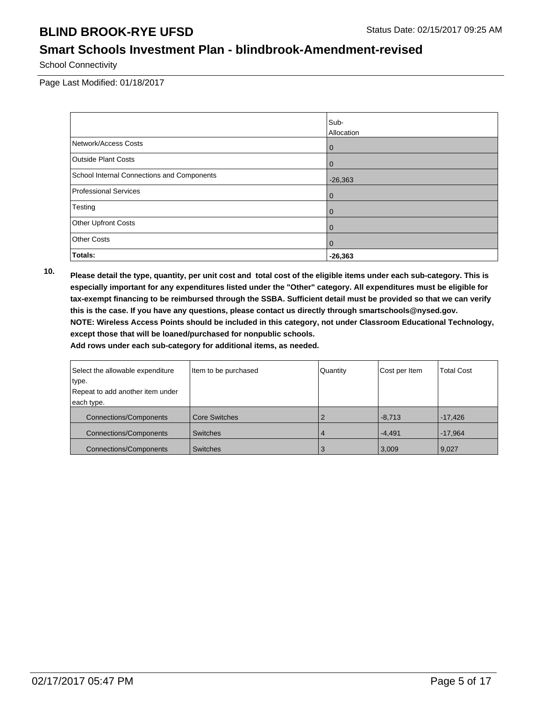# **Smart Schools Investment Plan - blindbrook-Amendment-revised**

School Connectivity

Page Last Modified: 01/18/2017

|                                            | Sub-           |
|--------------------------------------------|----------------|
|                                            | Allocation     |
| Network/Access Costs                       | $\overline{0}$ |
| <b>Outside Plant Costs</b>                 | $\overline{0}$ |
| School Internal Connections and Components | $-26,363$      |
| Professional Services                      | 0              |
| Testing                                    | $\overline{0}$ |
| Other Upfront Costs                        | $\overline{0}$ |
| Other Costs                                | $\overline{0}$ |
| Totals:                                    | $-26,363$      |

**10. Please detail the type, quantity, per unit cost and total cost of the eligible items under each sub-category. This is especially important for any expenditures listed under the "Other" category. All expenditures must be eligible for tax-exempt financing to be reimbursed through the SSBA. Sufficient detail must be provided so that we can verify this is the case. If you have any questions, please contact us directly through smartschools@nysed.gov. NOTE: Wireless Access Points should be included in this category, not under Classroom Educational Technology, except those that will be loaned/purchased for nonpublic schools.**

| Select the allowable expenditure | Item to be purchased | Quantity | Cost per Item | <b>Total Cost</b> |
|----------------------------------|----------------------|----------|---------------|-------------------|
| type.                            |                      |          |               |                   |
| Repeat to add another item under |                      |          |               |                   |
| each type.                       |                      |          |               |                   |
| <b>Connections/Components</b>    | <b>Core Switches</b> |          | $-8,713$      | $-17,426$         |
| <b>Connections/Components</b>    | <b>Switches</b>      |          | $-4,491$      | $-17,964$         |
| <b>Connections/Components</b>    | <b>Switches</b>      |          | 3,009         | 9,027             |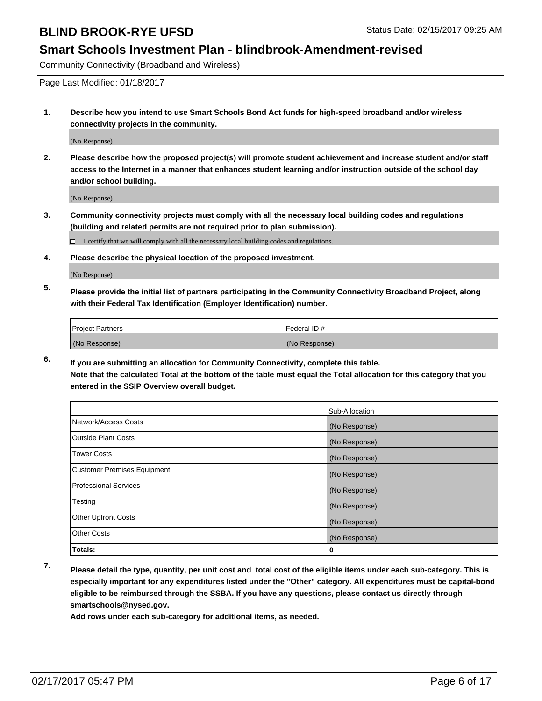#### **Smart Schools Investment Plan - blindbrook-Amendment-revised**

Community Connectivity (Broadband and Wireless)

Page Last Modified: 01/18/2017

**1. Describe how you intend to use Smart Schools Bond Act funds for high-speed broadband and/or wireless connectivity projects in the community.**

(No Response)

**2. Please describe how the proposed project(s) will promote student achievement and increase student and/or staff access to the Internet in a manner that enhances student learning and/or instruction outside of the school day and/or school building.**

(No Response)

**3. Community connectivity projects must comply with all the necessary local building codes and regulations (building and related permits are not required prior to plan submission).**

 $\Box$  I certify that we will comply with all the necessary local building codes and regulations.

**4. Please describe the physical location of the proposed investment.**

(No Response)

**5. Please provide the initial list of partners participating in the Community Connectivity Broadband Project, along with their Federal Tax Identification (Employer Identification) number.**

| <b>Project Partners</b> | Federal ID #  |
|-------------------------|---------------|
| (No Response)           | (No Response) |

**6. If you are submitting an allocation for Community Connectivity, complete this table. Note that the calculated Total at the bottom of the table must equal the Total allocation for this category that you entered in the SSIP Overview overall budget.**

|                                    | Sub-Allocation |
|------------------------------------|----------------|
| Network/Access Costs               | (No Response)  |
| <b>Outside Plant Costs</b>         | (No Response)  |
| <b>Tower Costs</b>                 | (No Response)  |
| <b>Customer Premises Equipment</b> | (No Response)  |
| <b>Professional Services</b>       | (No Response)  |
| Testing                            | (No Response)  |
| <b>Other Upfront Costs</b>         | (No Response)  |
| <b>Other Costs</b>                 | (No Response)  |
| Totals:                            | 0              |

**7. Please detail the type, quantity, per unit cost and total cost of the eligible items under each sub-category. This is especially important for any expenditures listed under the "Other" category. All expenditures must be capital-bond eligible to be reimbursed through the SSBA. If you have any questions, please contact us directly through smartschools@nysed.gov.**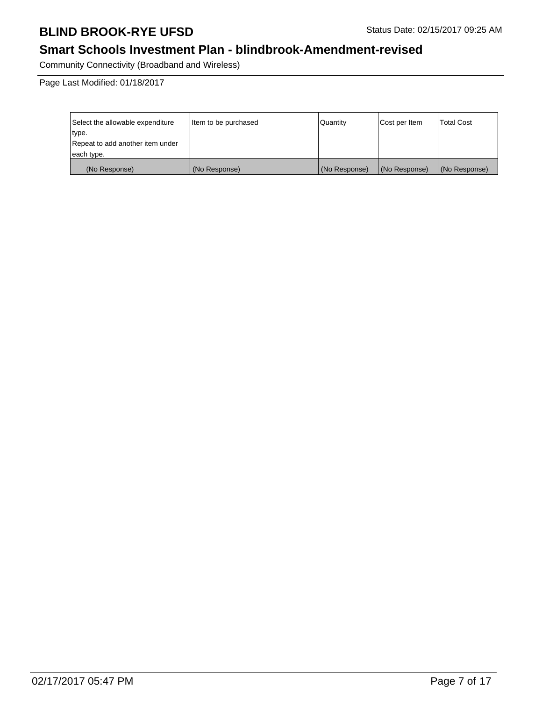# **Smart Schools Investment Plan - blindbrook-Amendment-revised**

Community Connectivity (Broadband and Wireless)

| Select the allowable expenditure | Item to be purchased | Quantity      | Cost per Item | <b>Total Cost</b> |
|----------------------------------|----------------------|---------------|---------------|-------------------|
| type.                            |                      |               |               |                   |
| Repeat to add another item under |                      |               |               |                   |
| each type.                       |                      |               |               |                   |
| (No Response)                    | (No Response)        | (No Response) | (No Response) | (No Response)     |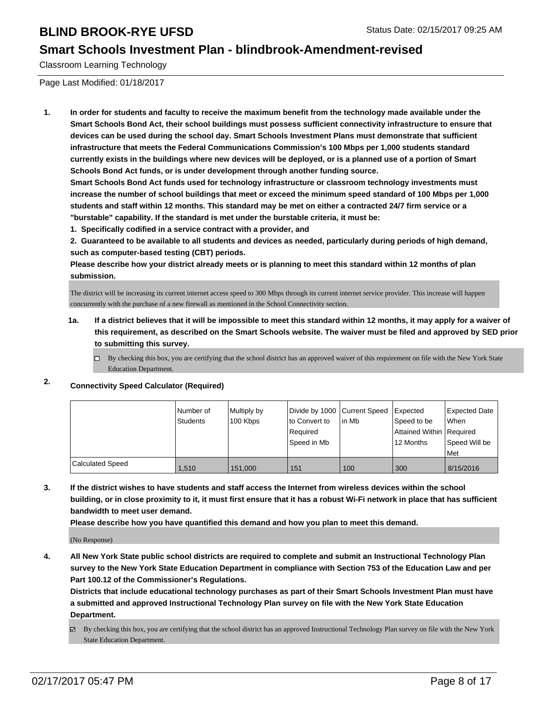#### **Smart Schools Investment Plan - blindbrook-Amendment-revised**

Classroom Learning Technology

Page Last Modified: 01/18/2017

**1. In order for students and faculty to receive the maximum benefit from the technology made available under the Smart Schools Bond Act, their school buildings must possess sufficient connectivity infrastructure to ensure that devices can be used during the school day. Smart Schools Investment Plans must demonstrate that sufficient infrastructure that meets the Federal Communications Commission's 100 Mbps per 1,000 students standard currently exists in the buildings where new devices will be deployed, or is a planned use of a portion of Smart Schools Bond Act funds, or is under development through another funding source.**

**Smart Schools Bond Act funds used for technology infrastructure or classroom technology investments must increase the number of school buildings that meet or exceed the minimum speed standard of 100 Mbps per 1,000 students and staff within 12 months. This standard may be met on either a contracted 24/7 firm service or a "burstable" capability. If the standard is met under the burstable criteria, it must be:**

**1. Specifically codified in a service contract with a provider, and**

**2. Guaranteed to be available to all students and devices as needed, particularly during periods of high demand, such as computer-based testing (CBT) periods.**

**Please describe how your district already meets or is planning to meet this standard within 12 months of plan submission.**

The district will be increasing its current internet access speed to 300 Mbps through its current internet service provider. This increase will happen concurrently with the purchase of a new firewall as mentioned in the School Connectivity section.

- **1a. If a district believes that it will be impossible to meet this standard within 12 months, it may apply for a waiver of this requirement, as described on the Smart Schools website. The waiver must be filed and approved by SED prior to submitting this survey.**
	- $\Box$  By checking this box, you are certifying that the school district has an approved waiver of this requirement on file with the New York State Education Department.

#### **2. Connectivity Speed Calculator (Required)**

|                  | Number of<br>Students | Multiply by<br>100 Kbps | Divide by 1000 Current Speed<br>Ito Convert to<br>Required<br>l Speed in Mb | lin Mb | Expected<br>Speed to be<br>Attained Within Required<br>12 Months | Expected Date<br><b>When</b><br>Speed Will be<br>l Met |
|------------------|-----------------------|-------------------------|-----------------------------------------------------------------------------|--------|------------------------------------------------------------------|--------------------------------------------------------|
| Calculated Speed | 1.510                 | 151.000                 | 151                                                                         | 100    | 300                                                              | 8/15/2016                                              |

**3. If the district wishes to have students and staff access the Internet from wireless devices within the school building, or in close proximity to it, it must first ensure that it has a robust Wi-Fi network in place that has sufficient bandwidth to meet user demand.**

**Please describe how you have quantified this demand and how you plan to meet this demand.**

(No Response)

**4. All New York State public school districts are required to complete and submit an Instructional Technology Plan survey to the New York State Education Department in compliance with Section 753 of the Education Law and per Part 100.12 of the Commissioner's Regulations.**

**Districts that include educational technology purchases as part of their Smart Schools Investment Plan must have a submitted and approved Instructional Technology Plan survey on file with the New York State Education Department.**

By checking this box, you are certifying that the school district has an approved Instructional Technology Plan survey on file with the New York State Education Department.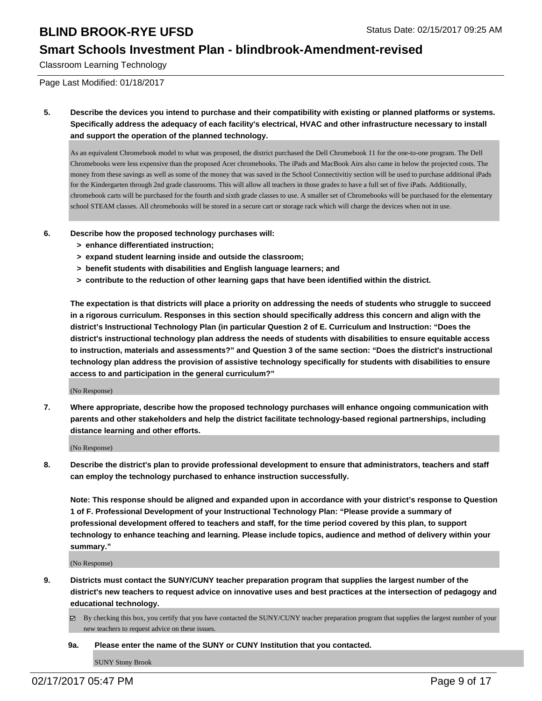#### **Smart Schools Investment Plan - blindbrook-Amendment-revised**

Classroom Learning Technology

Page Last Modified: 01/18/2017

**5. Describe the devices you intend to purchase and their compatibility with existing or planned platforms or systems. Specifically address the adequacy of each facility's electrical, HVAC and other infrastructure necessary to install and support the operation of the planned technology.**

As an equivalent Chromebook model to what was proposed, the district purchased the Dell Chromebook 11 for the one-to-one program. The Dell Chromebooks were less expensive than the proposed Acer chromebooks. The iPads and MacBook Airs also came in below the projected costs. The money from these savings as well as some of the money that was saved in the School Connectivitiy section will be used to purchase additional iPads for the Kindergarten through 2nd grade classrooms. This will allow all teachers in those grades to have a full set of five iPads. Additionally, chromebook carts will be purchased for the fourth and sixth grade classes to use. A smaller set of Chromebooks will be purchased for the elementary school STEAM classes. All chromebooks will be stored in a secure cart or storage rack which will charge the devices when not in use.

- **6. Describe how the proposed technology purchases will:**
	- **> enhance differentiated instruction;**
	- **> expand student learning inside and outside the classroom;**
	- **> benefit students with disabilities and English language learners; and**
	- **> contribute to the reduction of other learning gaps that have been identified within the district.**

**The expectation is that districts will place a priority on addressing the needs of students who struggle to succeed in a rigorous curriculum. Responses in this section should specifically address this concern and align with the district's Instructional Technology Plan (in particular Question 2 of E. Curriculum and Instruction: "Does the district's instructional technology plan address the needs of students with disabilities to ensure equitable access to instruction, materials and assessments?" and Question 3 of the same section: "Does the district's instructional technology plan address the provision of assistive technology specifically for students with disabilities to ensure access to and participation in the general curriculum?"**

(No Response)

**7. Where appropriate, describe how the proposed technology purchases will enhance ongoing communication with parents and other stakeholders and help the district facilitate technology-based regional partnerships, including distance learning and other efforts.**

(No Response)

**8. Describe the district's plan to provide professional development to ensure that administrators, teachers and staff can employ the technology purchased to enhance instruction successfully.**

**Note: This response should be aligned and expanded upon in accordance with your district's response to Question 1 of F. Professional Development of your Instructional Technology Plan: "Please provide a summary of professional development offered to teachers and staff, for the time period covered by this plan, to support technology to enhance teaching and learning. Please include topics, audience and method of delivery within your summary."**

(No Response)

- **9. Districts must contact the SUNY/CUNY teacher preparation program that supplies the largest number of the district's new teachers to request advice on innovative uses and best practices at the intersection of pedagogy and educational technology.**
	- By checking this box, you certify that you have contacted the SUNY/CUNY teacher preparation program that supplies the largest number of your new teachers to request advice on these issues.

**9a. Please enter the name of the SUNY or CUNY Institution that you contacted.**

SUNY Stony Brook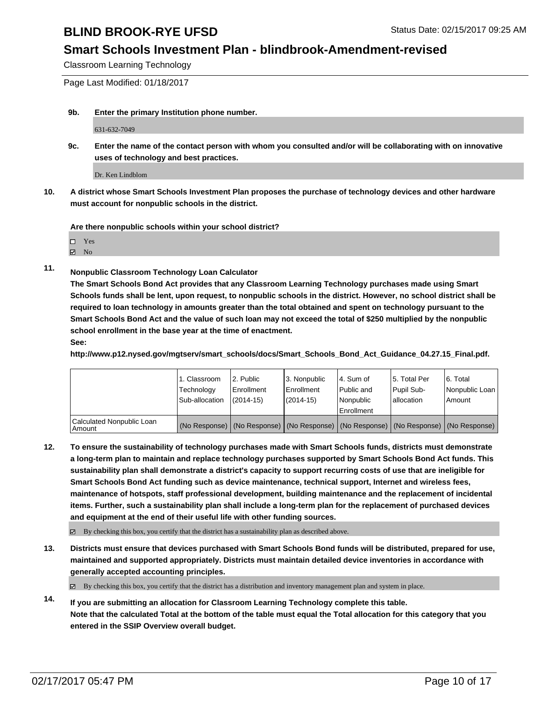#### **Smart Schools Investment Plan - blindbrook-Amendment-revised**

Classroom Learning Technology

Page Last Modified: 01/18/2017

**9b. Enter the primary Institution phone number.**

631-632-7049

**9c. Enter the name of the contact person with whom you consulted and/or will be collaborating with on innovative uses of technology and best practices.**

Dr. Ken Lindblom

**10. A district whose Smart Schools Investment Plan proposes the purchase of technology devices and other hardware must account for nonpublic schools in the district.**

**Are there nonpublic schools within your school district?**

**Ø** No

**11. Nonpublic Classroom Technology Loan Calculator**

**The Smart Schools Bond Act provides that any Classroom Learning Technology purchases made using Smart Schools funds shall be lent, upon request, to nonpublic schools in the district. However, no school district shall be required to loan technology in amounts greater than the total obtained and spent on technology pursuant to the Smart Schools Bond Act and the value of such loan may not exceed the total of \$250 multiplied by the nonpublic school enrollment in the base year at the time of enactment.**

**See:**

**http://www.p12.nysed.gov/mgtserv/smart\_schools/docs/Smart\_Schools\_Bond\_Act\_Guidance\_04.27.15\_Final.pdf.**

|                                     | 1. Classroom<br>Technology<br>Sub-allocation | 2. Public<br>Enrollment<br>$(2014 - 15)$ | 3. Nonpublic<br>Enrollment<br>$(2014 - 15)$ | l 4. Sum of<br>l Public and<br>l Nonpublic<br>Enrollment | 5. Total Per<br>Pupil Sub-<br>lallocation                                                     | 16. Total<br>Nonpublic Loan<br>Amount |
|-------------------------------------|----------------------------------------------|------------------------------------------|---------------------------------------------|----------------------------------------------------------|-----------------------------------------------------------------------------------------------|---------------------------------------|
| Calculated Nonpublic Loan<br>Amount |                                              |                                          |                                             |                                                          | (No Response)   (No Response)   (No Response)   (No Response)   (No Response)   (No Response) |                                       |

**12. To ensure the sustainability of technology purchases made with Smart Schools funds, districts must demonstrate a long-term plan to maintain and replace technology purchases supported by Smart Schools Bond Act funds. This sustainability plan shall demonstrate a district's capacity to support recurring costs of use that are ineligible for Smart Schools Bond Act funding such as device maintenance, technical support, Internet and wireless fees, maintenance of hotspots, staff professional development, building maintenance and the replacement of incidental items. Further, such a sustainability plan shall include a long-term plan for the replacement of purchased devices and equipment at the end of their useful life with other funding sources.**

 $\boxtimes$  By checking this box, you certify that the district has a sustainability plan as described above.

**13. Districts must ensure that devices purchased with Smart Schools Bond funds will be distributed, prepared for use, maintained and supported appropriately. Districts must maintain detailed device inventories in accordance with generally accepted accounting principles.**

 $\boxtimes$  By checking this box, you certify that the district has a distribution and inventory management plan and system in place.

**14. If you are submitting an allocation for Classroom Learning Technology complete this table. Note that the calculated Total at the bottom of the table must equal the Total allocation for this category that you entered in the SSIP Overview overall budget.**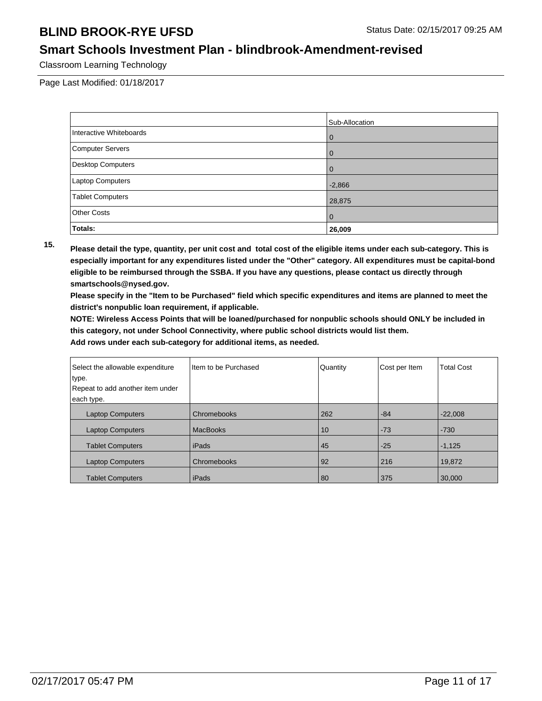#### **Smart Schools Investment Plan - blindbrook-Amendment-revised**

Classroom Learning Technology

Page Last Modified: 01/18/2017

|                          | Sub-Allocation |
|--------------------------|----------------|
| Interactive Whiteboards  | $\cup$         |
| <b>Computer Servers</b>  |                |
| <b>Desktop Computers</b> |                |
| Laptop Computers         | $-2,866$       |
| <b>Tablet Computers</b>  | 28,875         |
| <b>Other Costs</b>       | $\Omega$       |
| Totals:                  | 26,009         |

**15. Please detail the type, quantity, per unit cost and total cost of the eligible items under each sub-category. This is especially important for any expenditures listed under the "Other" category. All expenditures must be capital-bond eligible to be reimbursed through the SSBA. If you have any questions, please contact us directly through smartschools@nysed.gov.**

**Please specify in the "Item to be Purchased" field which specific expenditures and items are planned to meet the district's nonpublic loan requirement, if applicable.**

**NOTE: Wireless Access Points that will be loaned/purchased for nonpublic schools should ONLY be included in this category, not under School Connectivity, where public school districts would list them.**

| Select the allowable expenditure<br>type. | I Item to be Purchased | Quantity | Cost per Item | <b>Total Cost</b> |
|-------------------------------------------|------------------------|----------|---------------|-------------------|
| Repeat to add another item under          |                        |          |               |                   |
| each type.                                |                        |          |               |                   |
| <b>Laptop Computers</b>                   | Chromebooks            | 262      | $-84$         | $-22,008$         |
| <b>Laptop Computers</b>                   | <b>MacBooks</b>        | 10       | $-73$         | $-730$            |
| <b>Tablet Computers</b>                   | iPads                  | 45       | $-25$         | $-1,125$          |
| <b>Laptop Computers</b>                   | Chromebooks            | 92       | 216           | 19,872            |
| <b>Tablet Computers</b>                   | iPads                  | 80       | 375           | 30,000            |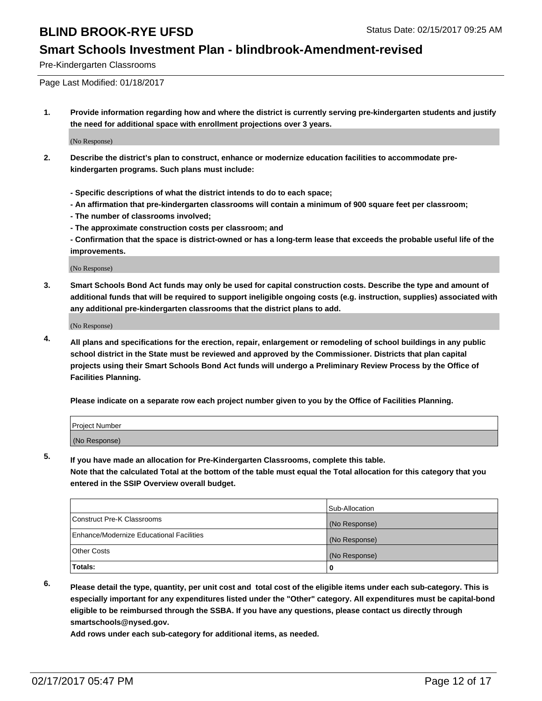#### **Smart Schools Investment Plan - blindbrook-Amendment-revised**

Pre-Kindergarten Classrooms

Page Last Modified: 01/18/2017

**1. Provide information regarding how and where the district is currently serving pre-kindergarten students and justify the need for additional space with enrollment projections over 3 years.**

(No Response)

- **2. Describe the district's plan to construct, enhance or modernize education facilities to accommodate prekindergarten programs. Such plans must include:**
	- **Specific descriptions of what the district intends to do to each space;**
	- **An affirmation that pre-kindergarten classrooms will contain a minimum of 900 square feet per classroom;**
	- **The number of classrooms involved;**
	- **The approximate construction costs per classroom; and**
	- **Confirmation that the space is district-owned or has a long-term lease that exceeds the probable useful life of the improvements.**

(No Response)

**3. Smart Schools Bond Act funds may only be used for capital construction costs. Describe the type and amount of additional funds that will be required to support ineligible ongoing costs (e.g. instruction, supplies) associated with any additional pre-kindergarten classrooms that the district plans to add.**

(No Response)

**4. All plans and specifications for the erection, repair, enlargement or remodeling of school buildings in any public school district in the State must be reviewed and approved by the Commissioner. Districts that plan capital projects using their Smart Schools Bond Act funds will undergo a Preliminary Review Process by the Office of Facilities Planning.**

**Please indicate on a separate row each project number given to you by the Office of Facilities Planning.**

| Project Number |  |  |
|----------------|--|--|
| (No Response)  |  |  |

**5. If you have made an allocation for Pre-Kindergarten Classrooms, complete this table.**

**Note that the calculated Total at the bottom of the table must equal the Total allocation for this category that you entered in the SSIP Overview overall budget.**

|                                          | Sub-Allocation |
|------------------------------------------|----------------|
| Construct Pre-K Classrooms               | (No Response)  |
| Enhance/Modernize Educational Facilities | (No Response)  |
| Other Costs                              | (No Response)  |
| Totals:                                  |                |

**6. Please detail the type, quantity, per unit cost and total cost of the eligible items under each sub-category. This is especially important for any expenditures listed under the "Other" category. All expenditures must be capital-bond eligible to be reimbursed through the SSBA. If you have any questions, please contact us directly through smartschools@nysed.gov.**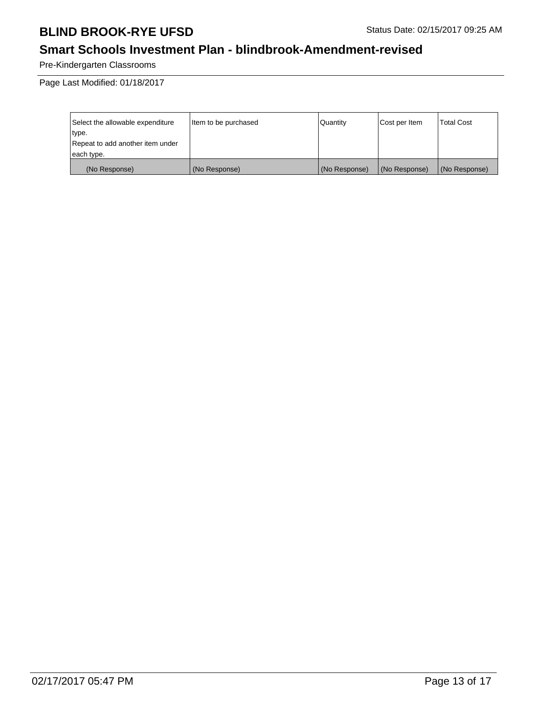# **Smart Schools Investment Plan - blindbrook-Amendment-revised**

Pre-Kindergarten Classrooms

| Select the allowable expenditure | litem to be purchased | Quantity      | Cost per Item | <b>Total Cost</b> |
|----------------------------------|-----------------------|---------------|---------------|-------------------|
| type.                            |                       |               |               |                   |
| Repeat to add another item under |                       |               |               |                   |
| each type.                       |                       |               |               |                   |
| (No Response)                    | (No Response)         | (No Response) | (No Response) | (No Response)     |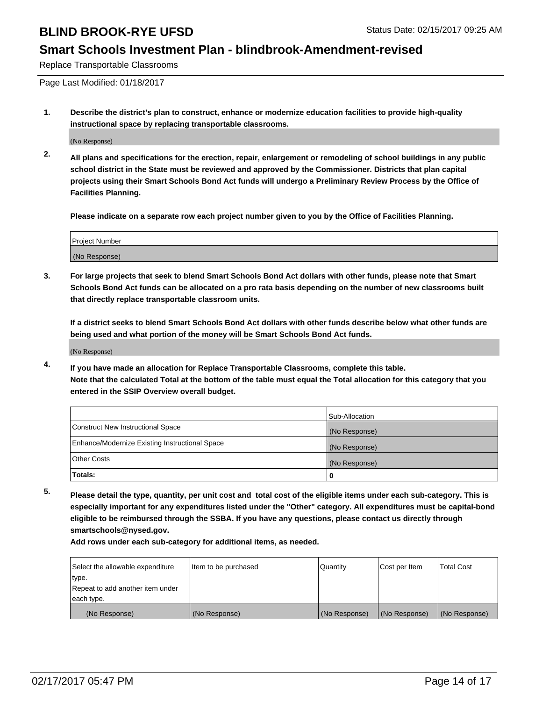#### **Smart Schools Investment Plan - blindbrook-Amendment-revised**

Replace Transportable Classrooms

Page Last Modified: 01/18/2017

**1. Describe the district's plan to construct, enhance or modernize education facilities to provide high-quality instructional space by replacing transportable classrooms.**

(No Response)

**2. All plans and specifications for the erection, repair, enlargement or remodeling of school buildings in any public school district in the State must be reviewed and approved by the Commissioner. Districts that plan capital projects using their Smart Schools Bond Act funds will undergo a Preliminary Review Process by the Office of Facilities Planning.**

**Please indicate on a separate row each project number given to you by the Office of Facilities Planning.**

| <b>Project Number</b> |  |
|-----------------------|--|
| (No Response)         |  |

**3. For large projects that seek to blend Smart Schools Bond Act dollars with other funds, please note that Smart Schools Bond Act funds can be allocated on a pro rata basis depending on the number of new classrooms built that directly replace transportable classroom units.**

**If a district seeks to blend Smart Schools Bond Act dollars with other funds describe below what other funds are being used and what portion of the money will be Smart Schools Bond Act funds.**

(No Response)

**4. If you have made an allocation for Replace Transportable Classrooms, complete this table. Note that the calculated Total at the bottom of the table must equal the Total allocation for this category that you entered in the SSIP Overview overall budget.**

|                                                | Sub-Allocation |
|------------------------------------------------|----------------|
| Construct New Instructional Space              | (No Response)  |
| Enhance/Modernize Existing Instructional Space | (No Response)  |
| <b>Other Costs</b>                             | (No Response)  |
| Totals:                                        |                |

**5. Please detail the type, quantity, per unit cost and total cost of the eligible items under each sub-category. This is especially important for any expenditures listed under the "Other" category. All expenditures must be capital-bond eligible to be reimbursed through the SSBA. If you have any questions, please contact us directly through smartschools@nysed.gov.**

| Select the allowable expenditure | Item to be purchased | Quantity      | Cost per Item | <b>Total Cost</b> |
|----------------------------------|----------------------|---------------|---------------|-------------------|
| type.                            |                      |               |               |                   |
| Repeat to add another item under |                      |               |               |                   |
| each type.                       |                      |               |               |                   |
| (No Response)                    | (No Response)        | (No Response) | (No Response) | (No Response)     |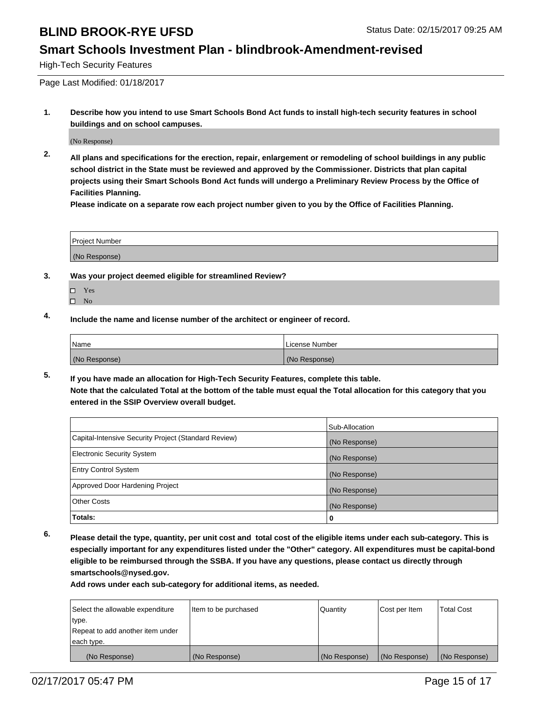#### **Smart Schools Investment Plan - blindbrook-Amendment-revised**

High-Tech Security Features

Page Last Modified: 01/18/2017

**1. Describe how you intend to use Smart Schools Bond Act funds to install high-tech security features in school buildings and on school campuses.**

(No Response)

**2. All plans and specifications for the erection, repair, enlargement or remodeling of school buildings in any public school district in the State must be reviewed and approved by the Commissioner. Districts that plan capital projects using their Smart Schools Bond Act funds will undergo a Preliminary Review Process by the Office of Facilities Planning.** 

**Please indicate on a separate row each project number given to you by the Office of Facilities Planning.**

| Project Number |  |
|----------------|--|
| (No Response)  |  |

- **3. Was your project deemed eligible for streamlined Review?**
	- Yes
	- $\square$  No
- **4. Include the name and license number of the architect or engineer of record.**

| 'Name         | License Number |
|---------------|----------------|
| (No Response) | (No Response)  |

**5. If you have made an allocation for High-Tech Security Features, complete this table. Note that the calculated Total at the bottom of the table must equal the Total allocation for this category that you entered in the SSIP Overview overall budget.**

|                                                      | Sub-Allocation |
|------------------------------------------------------|----------------|
| Capital-Intensive Security Project (Standard Review) | (No Response)  |
| <b>Electronic Security System</b>                    | (No Response)  |
| <b>Entry Control System</b>                          | (No Response)  |
| Approved Door Hardening Project                      | (No Response)  |
| <b>Other Costs</b>                                   | (No Response)  |
| Totals:                                              | 0              |

**6. Please detail the type, quantity, per unit cost and total cost of the eligible items under each sub-category. This is especially important for any expenditures listed under the "Other" category. All expenditures must be capital-bond eligible to be reimbursed through the SSBA. If you have any questions, please contact us directly through smartschools@nysed.gov.**

| Select the allowable expenditure | litem to be purchased | Quantity      | Cost per Item | <b>Total Cost</b> |
|----------------------------------|-----------------------|---------------|---------------|-------------------|
| type.                            |                       |               |               |                   |
| Repeat to add another item under |                       |               |               |                   |
| each type.                       |                       |               |               |                   |
| (No Response)                    | (No Response)         | (No Response) | (No Response) | (No Response)     |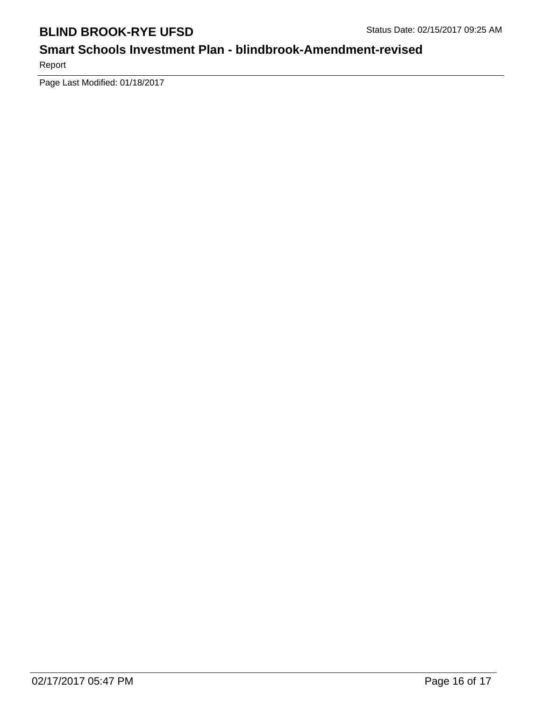# **Smart Schools Investment Plan - blindbrook-Amendment-revised**

Report